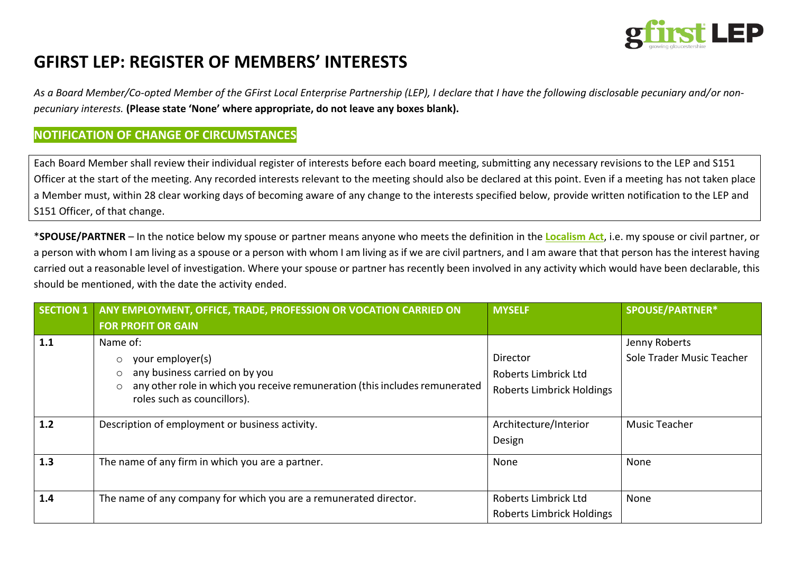

# **GFIRST LEP: REGISTER OF MEMBERS' INTERESTS**

*As a Board Member/Co-opted Member of the GFirst Local Enterprise Partnership (LEP), I declare that I have the following disclosable pecuniary and/or nonpecuniary interests.* **(Please state 'None' where appropriate, do not leave any boxes blank).**

### **NOTIFICATION OF CHANGE OF CIRCUMSTANCES**

Each Board Member shall review their individual register of interests before each board meeting, submitting any necessary revisions to the LEP and S151 Officer at the start of the meeting. Any recorded interests relevant to the meeting should also be declared at this point. Even if a meeting has not taken place a Member must, within 28 clear working days of becoming aware of any change to the interests specified below, provide written notification to the LEP and S151 Officer, of that change.

\***SPOUSE/PARTNER** – In the notice below my spouse or partner means anyone who meets the definition in the **[Localism](http://www.legislation.gov.uk/ukpga/2011/20/contents/enacted) Act**, i.e. my spouse or civil partner, or a person with whom I am living as a spouse or a person with whom I am living as if we are civil partners, and I am aware that that person has the interest having carried out a reasonable level of investigation. Where your spouse or partner has recently been involved in any activity which would have been declarable, this should be mentioned, with the date the activity ended.

| <b>SECTION 1</b> | ANY EMPLOYMENT, OFFICE, TRADE, PROFESSION OR VOCATION CARRIED ON                                                      | <b>MYSELF</b>                    | <b>SPOUSE/PARTNER*</b>    |
|------------------|-----------------------------------------------------------------------------------------------------------------------|----------------------------------|---------------------------|
|                  | <b>FOR PROFIT OR GAIN</b>                                                                                             |                                  |                           |
| 1.1              | Name of:                                                                                                              |                                  | Jenny Roberts             |
|                  | $\circ$ your employer(s)                                                                                              | Director                         | Sole Trader Music Teacher |
|                  | $\circ$ any business carried on by you                                                                                | Roberts Limbrick Ltd             |                           |
|                  | any other role in which you receive remuneration (this includes remunerated<br>$\circ$<br>roles such as councillors). | <b>Roberts Limbrick Holdings</b> |                           |
| 1.2              | Description of employment or business activity.                                                                       | Architecture/Interior            | <b>Music Teacher</b>      |
|                  |                                                                                                                       | Design                           |                           |
| 1.3              | The name of any firm in which you are a partner.                                                                      | None                             | None                      |
|                  |                                                                                                                       |                                  |                           |
| 1.4              | The name of any company for which you are a remunerated director.                                                     | Roberts Limbrick Ltd             | None                      |
|                  |                                                                                                                       | <b>Roberts Limbrick Holdings</b> |                           |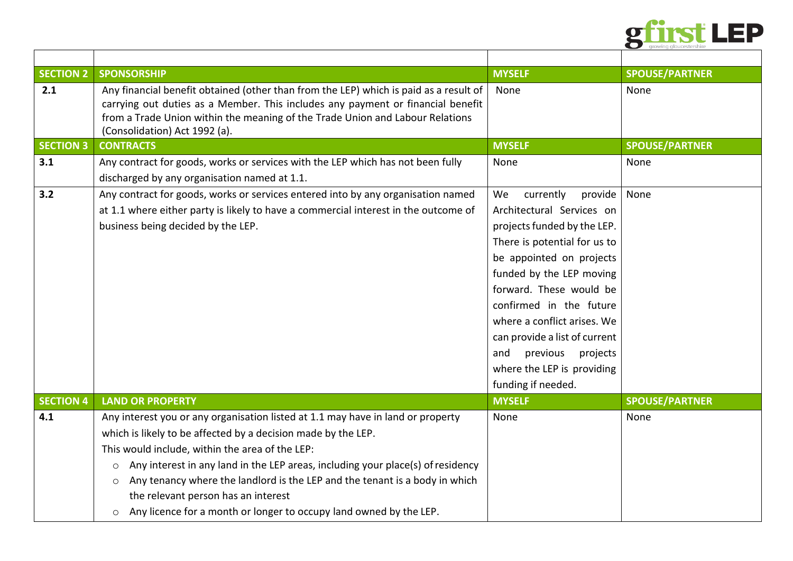

| <b>SECTION 2</b> | <b>SPONSORSHIP</b>                                                                                                                                                                                                                                                                                                                                                                                                                                                                                                  | <b>MYSELF</b>                                                                                                                                                                                                                                                                                                                                                                           | <b>SPOUSE/PARTNER</b> |
|------------------|---------------------------------------------------------------------------------------------------------------------------------------------------------------------------------------------------------------------------------------------------------------------------------------------------------------------------------------------------------------------------------------------------------------------------------------------------------------------------------------------------------------------|-----------------------------------------------------------------------------------------------------------------------------------------------------------------------------------------------------------------------------------------------------------------------------------------------------------------------------------------------------------------------------------------|-----------------------|
| 2.1              | Any financial benefit obtained (other than from the LEP) which is paid as a result of<br>carrying out duties as a Member. This includes any payment or financial benefit<br>from a Trade Union within the meaning of the Trade Union and Labour Relations<br>(Consolidation) Act 1992 (a).                                                                                                                                                                                                                          | None                                                                                                                                                                                                                                                                                                                                                                                    | None                  |
| <b>SECTION 3</b> | <b>CONTRACTS</b>                                                                                                                                                                                                                                                                                                                                                                                                                                                                                                    | <b>MYSELF</b>                                                                                                                                                                                                                                                                                                                                                                           | <b>SPOUSE/PARTNER</b> |
| 3.1              | Any contract for goods, works or services with the LEP which has not been fully<br>discharged by any organisation named at 1.1.                                                                                                                                                                                                                                                                                                                                                                                     | None                                                                                                                                                                                                                                                                                                                                                                                    | None                  |
| 3.2              | Any contract for goods, works or services entered into by any organisation named<br>at 1.1 where either party is likely to have a commercial interest in the outcome of<br>business being decided by the LEP.                                                                                                                                                                                                                                                                                                       | We<br>currently<br>provide<br>Architectural Services on<br>projects funded by the LEP.<br>There is potential for us to<br>be appointed on projects<br>funded by the LEP moving<br>forward. These would be<br>confirmed in the future<br>where a conflict arises. We<br>can provide a list of current<br>and<br>previous<br>projects<br>where the LEP is providing<br>funding if needed. | None                  |
| <b>SECTION 4</b> | <b>LAND OR PROPERTY</b>                                                                                                                                                                                                                                                                                                                                                                                                                                                                                             | <b>MYSELF</b>                                                                                                                                                                                                                                                                                                                                                                           | <b>SPOUSE/PARTNER</b> |
| 4.1              | Any interest you or any organisation listed at 1.1 may have in land or property<br>which is likely to be affected by a decision made by the LEP.<br>This would include, within the area of the LEP:<br>Any interest in any land in the LEP areas, including your place(s) of residency<br>$\circ$<br>Any tenancy where the landlord is the LEP and the tenant is a body in which<br>$\circ$<br>the relevant person has an interest<br>Any licence for a month or longer to occupy land owned by the LEP.<br>$\circ$ | None                                                                                                                                                                                                                                                                                                                                                                                    | None                  |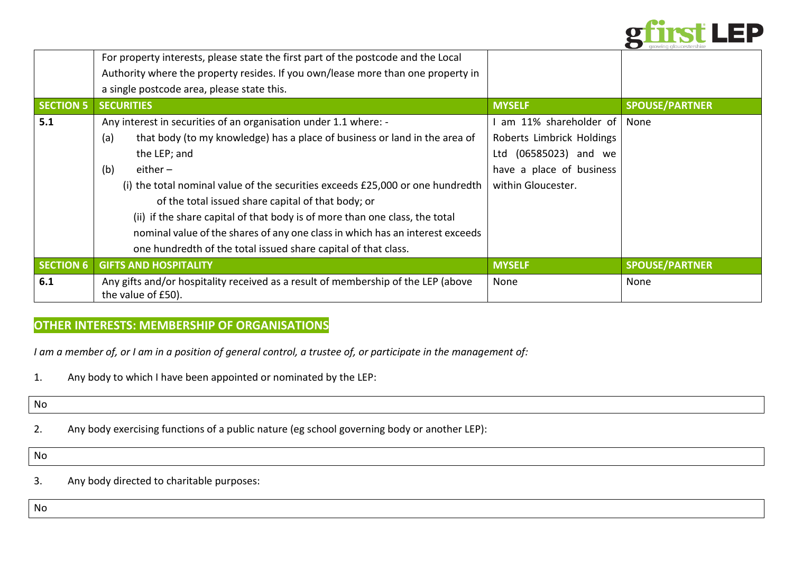

|                  | For property interests, please state the first part of the postcode and the Local                       |                           |                       |
|------------------|---------------------------------------------------------------------------------------------------------|---------------------------|-----------------------|
|                  | Authority where the property resides. If you own/lease more than one property in                        |                           |                       |
|                  | a single postcode area, please state this.                                                              |                           |                       |
| <b>SECTION 5</b> | <b>SECURITIES</b>                                                                                       | <b>MYSELF</b>             | <b>SPOUSE/PARTNER</b> |
| 5.1              | Any interest in securities of an organisation under 1.1 where: -                                        | am 11% shareholder of     | None                  |
|                  | that body (to my knowledge) has a place of business or land in the area of<br>(a)                       | Roberts Limbrick Holdings |                       |
|                  | the LEP; and                                                                                            | Ltd (06585023) and we     |                       |
|                  | $either -$<br>(b)                                                                                       | have a place of business  |                       |
|                  | (i) the total nominal value of the securities exceeds £25,000 or one hundredth                          | within Gloucester.        |                       |
|                  | of the total issued share capital of that body; or                                                      |                           |                       |
|                  | (ii) if the share capital of that body is of more than one class, the total                             |                           |                       |
|                  | nominal value of the shares of any one class in which has an interest exceeds                           |                           |                       |
|                  | one hundredth of the total issued share capital of that class.                                          |                           |                       |
| <b>SECTION 6</b> | <b>GIFTS AND HOSPITALITY</b>                                                                            | <b>MYSELF</b>             | <b>SPOUSE/PARTNER</b> |
| 6.1              | Any gifts and/or hospitality received as a result of membership of the LEP (above<br>the value of £50). | None                      | None                  |

# **OTHER INTERESTS: MEMBERSHIP OF ORGANISATIONS**

*I am a member of, or I am in a position of general control, a trustee of, or participate in the management of:*

1. Any body to which I have been appointed or nominated by the LEP:

No

2. Any body exercising functions of a public nature (eg school governing body or another LEP):

No

3. Any body directed to charitable purposes: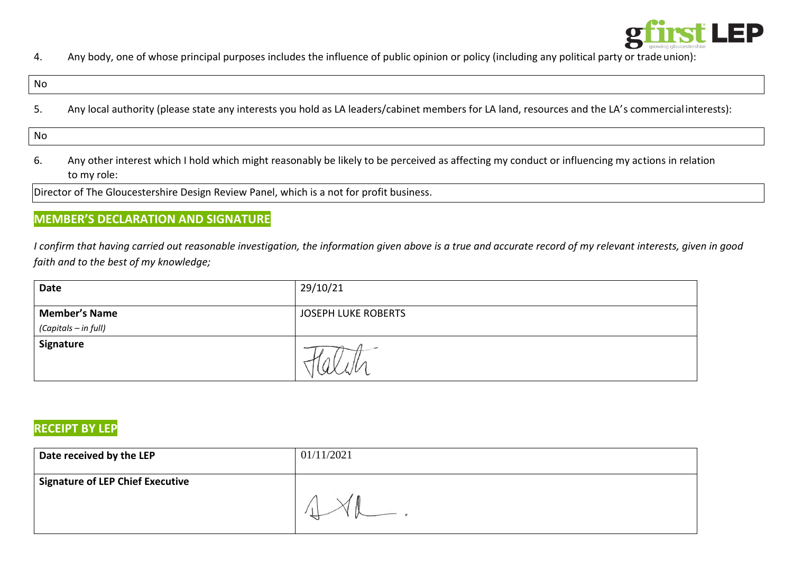

4. Any body, one of whose principal purposes includes the influence of public opinion or policy (including any political party or trade union):

#### No

5. Any local authority (please state any interests you hold as LA leaders/cabinet members for LA land, resources and the LA's commercialinterests):

No

6. Any other interest which I hold which might reasonably be likely to be perceived as affecting my conduct or influencing my actions in relation to my role:

Director of The Gloucestershire Design Review Panel, which is a not for profit business.

## **MEMBER'S DECLARATION AND SIGNATURE**

*I confirm that having carried out reasonable investigation, the information given above is a true and accurate record of my relevant interests, given in good faith and to the best of my knowledge;*

| Date                                         | 29/10/21                   |
|----------------------------------------------|----------------------------|
| <b>Member's Name</b><br>(Capitals - in full) | <b>JOSEPH LUKE ROBERTS</b> |
| Signature                                    |                            |

## **RECEIPT BY LEP**

| Date received by the LEP                | 01/11/2021 |
|-----------------------------------------|------------|
| <b>Signature of LEP Chief Executive</b> |            |